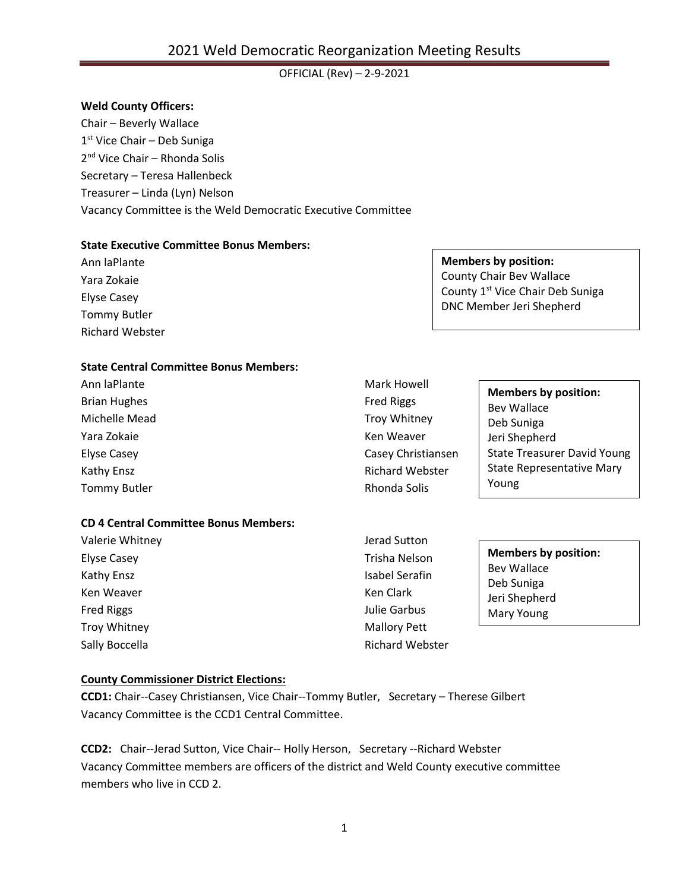## OFFICIAL (Rev) – 2-9-2021

#### **Weld County Officers:**

Chair – Beverly Wallace 1 st Vice Chair – Deb Suniga 2<sup>nd</sup> Vice Chair – Rhonda Solis Secretary – Teresa Hallenbeck Treasurer – Linda (Lyn) Nelson Vacancy Committee is the Weld Democratic Executive Committee

### **State Executive Committee Bonus Members:**

Ann laPlante Yara Zokaie Elyse Casey Tommy Butler Richard Webster

# **Members by position:**

County Chair Bev Wallace County 1<sup>st</sup> Vice Chair Deb Suniga DNC Member Jeri Shepherd

### **State Central Committee Bonus Members:**

Ann laPlante Brian Hughes Michelle Mead Yara Zokaie Elyse Casey Kathy Ensz Tommy Butler

# **CD 4 Central Committee Bonus Members:**

Valerie Whitney Elyse Casey Kathy Ensz Ken Weaver Fred Riggs Troy Whitney Sally Boccella

Fred Riggs Troy Whitney Ken Weaver Casey Christiansen Richard Webster Rhonda Solis

Mark Howell

**Members by position:** Bev Wallace Deb Suniga Jeri Shepherd State Treasurer David Young State Representative Mary Young

Jerad Sutton Trisha Nelson Isabel Serafin Ken Clark Julie Garbus Mallory Pett Richard Webster

**Members by position:** Bev Wallace Deb Suniga Jeri Shepherd Mary Young

#### **County Commissioner District Elections:**

**CCD1:** Chair--Casey Christiansen, Vice Chair--Tommy Butler, Secretary – Therese Gilbert Vacancy Committee is the CCD1 Central Committee.

**CCD2:** Chair--Jerad Sutton, Vice Chair-- Holly Herson, Secretary --Richard Webster Vacancy Committee members are officers of the district and Weld County executive committee members who live in CCD 2.